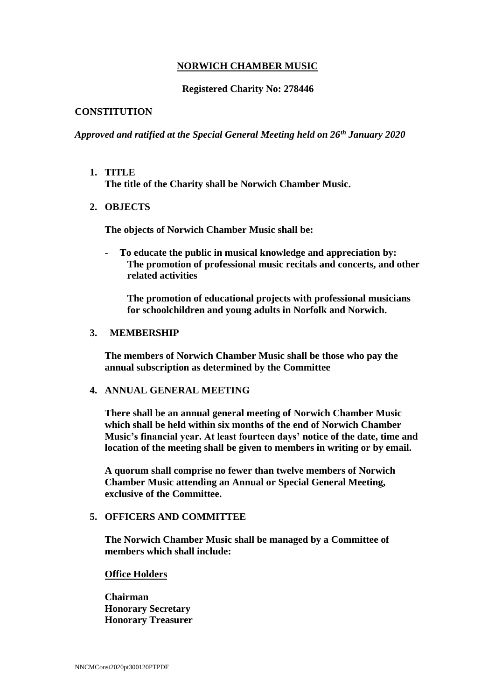# **NORWICH CHAMBER MUSIC**

## **Registered Charity No: 278446**

## **CONSTITUTION**

*Approved and ratified at the Special General Meeting held on 26th January 2020*

- **1. TITLE The title of the Charity shall be Norwich Chamber Music.**
- **2. OBJECTS**

**The objects of Norwich Chamber Music shall be:**

- **To educate the public in musical knowledge and appreciation by: The promotion of professional music recitals and concerts, and other related activities**

**The promotion of educational projects with professional musicians for schoolchildren and young adults in Norfolk and Norwich.**

#### **3. MEMBERSHIP**

**The members of Norwich Chamber Music shall be those who pay the annual subscription as determined by the Committee**

## **4. ANNUAL GENERAL MEETING**

**There shall be an annual general meeting of Norwich Chamber Music which shall be held within six months of the end of Norwich Chamber Music's financial year. At least fourteen days' notice of the date, time and location of the meeting shall be given to members in writing or by email.**

**A quorum shall comprise no fewer than twelve members of Norwich Chamber Music attending an Annual or Special General Meeting, exclusive of the Committee.**

## **5. OFFICERS AND COMMITTEE**

**The Norwich Chamber Music shall be managed by a Committee of members which shall include:**

#### **Office Holders**

**Chairman Honorary Secretary Honorary Treasurer**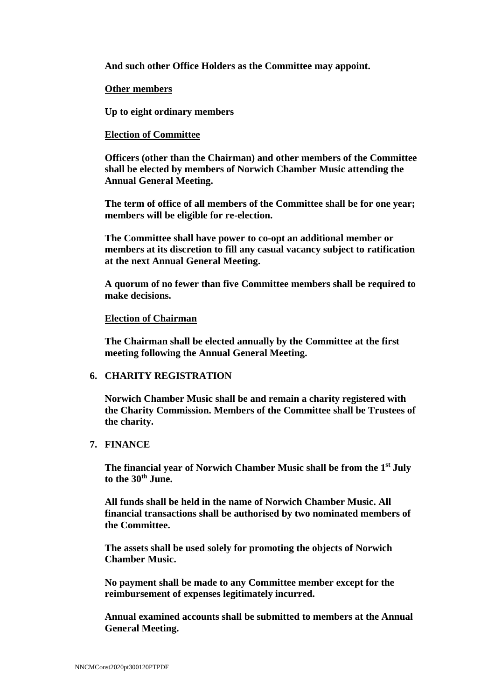**And such other Office Holders as the Committee may appoint.**

#### **Other members**

**Up to eight ordinary members**

## **Election of Committee**

**Officers (other than the Chairman) and other members of the Committee shall be elected by members of Norwich Chamber Music attending the Annual General Meeting.**

**The term of office of all members of the Committee shall be for one year; members will be eligible for re-election.**

**The Committee shall have power to co-opt an additional member or members at its discretion to fill any casual vacancy subject to ratification at the next Annual General Meeting.**

**A quorum of no fewer than five Committee members shall be required to make decisions.**

## **Election of Chairman**

**The Chairman shall be elected annually by the Committee at the first meeting following the Annual General Meeting.**

#### **6. CHARITY REGISTRATION**

**Norwich Chamber Music shall be and remain a charity registered with the Charity Commission. Members of the Committee shall be Trustees of the charity.**

# **7. FINANCE**

**The financial year of Norwich Chamber Music shall be from the 1st July to the 30th June.**

**All funds shall be held in the name of Norwich Chamber Music. All financial transactions shall be authorised by two nominated members of the Committee.**

**The assets shall be used solely for promoting the objects of Norwich Chamber Music.** 

**No payment shall be made to any Committee member except for the reimbursement of expenses legitimately incurred.**

**Annual examined accounts shall be submitted to members at the Annual General Meeting.**